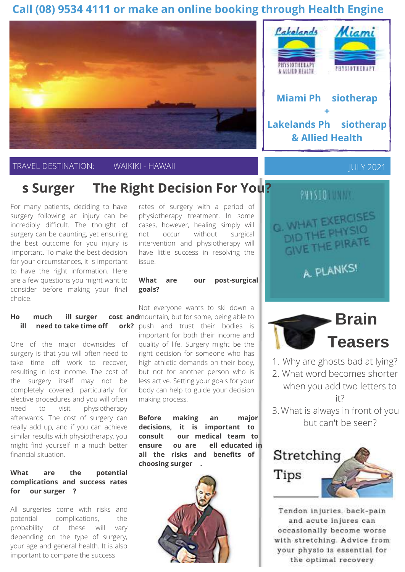## **Call (08) 9534 4111 or make an online booking through Health Engine**





# **In state Surgery The Right Decision For You?**

For many patients, deciding to have surgery following an injury can be incredibly difficult. The thought of surgery can be daunting, yet ensuring the best outcome for you injury is important. To make the best decision for your circumstances, it is important to have the right information. Here are a few questions you might want to consider before making your final choice.

### **How much w ill surgery cost and**mountain, but for some, being able to **w ill I need to take time off w ork?** push and trust their bodies is

One of the major downsides of surgery is that you will often need to take time off work to recover, resulting in lost income. The cost of the surgery itself may not be completely covered, particularly for elective procedures and you will often need to visit physiotherapy afterwards. The cost of surgery can really add up, and if you can achieve similar results with physiotherapy, you might find yourself in a much better financial situation.

### **What are the potential complications and success rates for y our surgery ?**

All surgeries come with risks and potential complications, the probability of these will vary depending on the type of surgery, your age and general health. It is also important to compare the success

rates of surgery with a period of physiotherapy treatment. In some cases, however, healing simply will not occur without surgical intervention and physiotherapy will have little success in resolving the issue.

#### **What are y our post-surgical goals?**

Not everyone wants to ski down a important for both their income and quality of life. Surgery might be the right decision for someone who has high athletic demands on their body, but not for another person who is less active. Setting your goals for your body can help to guide your decision making process.

**Before making any major decisions, it is important to consult y our medical team to ensure y ou are w ell educated in all the risks and benefits of choosing surgery .** 





**& Allied Health**

APRIL NEWSLETCHER JULY 2021





- Why are ghosts bad at lying? 1.
- What word becomes shorter 2. when you add two letters to it?
- What is always in front of you 3. but can't be seen?



Tendon injuries, back-pain and acute injures can occasionally become worse with stretching. Advice from your physio is essential for the optimal recovery